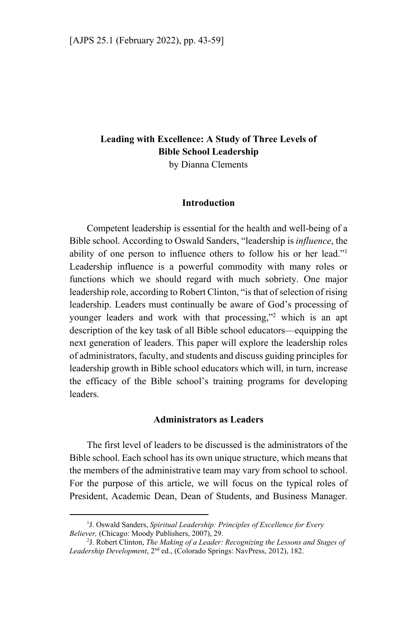# **Leading with Excellence: A Study of Three Levels of Bible School Leadership**

by Dianna Clements

### **Introduction**

Competent leadership is essential for the health and well-being of a Bible school. According to Oswald Sanders, "leadership is *influence*, the ability of one person to influence others to follow his or her lead."1 Leadership influence is a powerful commodity with many roles or functions which we should regard with much sobriety. One major leadership role, according to Robert Clinton, "is that of selection of rising leadership. Leaders must continually be aware of God's processing of younger leaders and work with that processing,"<sup>2</sup> which is an apt description of the key task of all Bible school educators—equipping the next generation of leaders. This paper will explore the leadership roles of administrators, faculty, and students and discuss guiding principles for leadership growth in Bible school educators which will, in turn, increase the efficacy of the Bible school's training programs for developing leaders.

#### **Administrators as Leaders**

The first level of leaders to be discussed is the administrators of the Bible school. Each school has its own unique structure, which means that the members of the administrative team may vary from school to school. For the purpose of this article, we will focus on the typical roles of President, Academic Dean, Dean of Students, and Business Manager.

<sup>&</sup>lt;sup>1</sup>J. Oswald Sanders, Spiritual Leadership: Principles of Excellence for Every *Believer,* (Chicago: Moody Publishers, 2007), 29.

<sup>&</sup>lt;sup>2</sup>J. Robert Clinton, *The Making of a Leader: Recognizing the Lessons and Stages of Leadership Development*, 2nd ed., (Colorado Springs: NavPress, 2012), 182.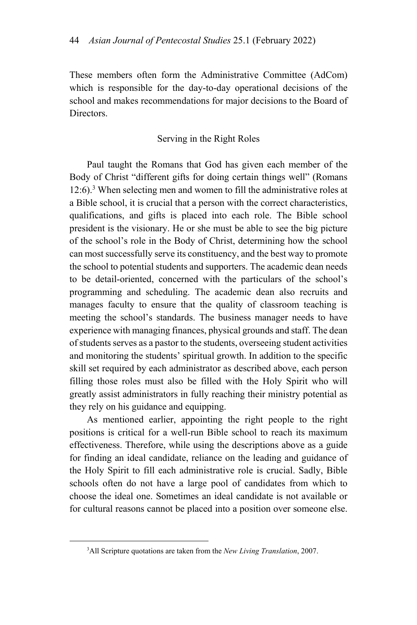These members often form the Administrative Committee (AdCom) which is responsible for the day-to-day operational decisions of the school and makes recommendations for major decisions to the Board of Directors.

## Serving in the Right Roles

Paul taught the Romans that God has given each member of the Body of Christ "different gifts for doing certain things well" (Romans 12:6).3 When selecting men and women to fill the administrative roles at a Bible school, it is crucial that a person with the correct characteristics, qualifications, and gifts is placed into each role. The Bible school president is the visionary. He or she must be able to see the big picture of the school's role in the Body of Christ, determining how the school can most successfully serve its constituency, and the best way to promote the school to potential students and supporters. The academic dean needs to be detail-oriented, concerned with the particulars of the school's programming and scheduling. The academic dean also recruits and manages faculty to ensure that the quality of classroom teaching is meeting the school's standards. The business manager needs to have experience with managing finances, physical grounds and staff. The dean of students serves as a pastor to the students, overseeing student activities and monitoring the students' spiritual growth. In addition to the specific skill set required by each administrator as described above, each person filling those roles must also be filled with the Holy Spirit who will greatly assist administrators in fully reaching their ministry potential as they rely on his guidance and equipping.

As mentioned earlier, appointing the right people to the right positions is critical for a well-run Bible school to reach its maximum effectiveness. Therefore, while using the descriptions above as a guide for finding an ideal candidate, reliance on the leading and guidance of the Holy Spirit to fill each administrative role is crucial. Sadly, Bible schools often do not have a large pool of candidates from which to choose the ideal one. Sometimes an ideal candidate is not available or for cultural reasons cannot be placed into a position over someone else.

<sup>3</sup> All Scripture quotations are taken from the *New Living Translation*, 2007.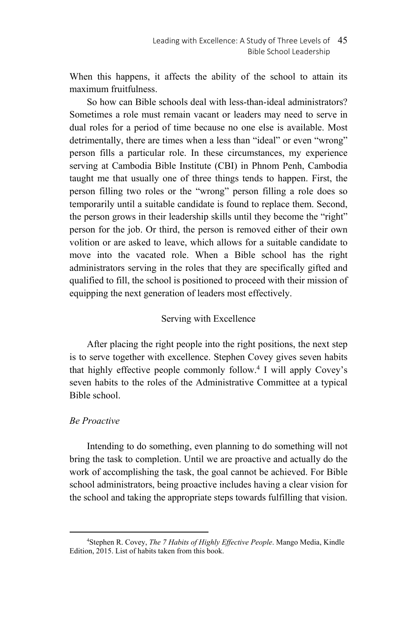When this happens, it affects the ability of the school to attain its maximum fruitfulness.

So how can Bible schools deal with less-than-ideal administrators? Sometimes a role must remain vacant or leaders may need to serve in dual roles for a period of time because no one else is available. Most detrimentally, there are times when a less than "ideal" or even "wrong" person fills a particular role. In these circumstances, my experience serving at Cambodia Bible Institute (CBI) in Phnom Penh, Cambodia taught me that usually one of three things tends to happen. First, the person filling two roles or the "wrong" person filling a role does so temporarily until a suitable candidate is found to replace them. Second, the person grows in their leadership skills until they become the "right" person for the job. Or third, the person is removed either of their own volition or are asked to leave, which allows for a suitable candidate to move into the vacated role. When a Bible school has the right administrators serving in the roles that they are specifically gifted and qualified to fill, the school is positioned to proceed with their mission of equipping the next generation of leaders most effectively.

## Serving with Excellence

After placing the right people into the right positions, the next step is to serve together with excellence. Stephen Covey gives seven habits that highly effective people commonly follow.4 I will apply Covey's seven habits to the roles of the Administrative Committee at a typical Bible school.

## *Be Proactive*

Intending to do something, even planning to do something will not bring the task to completion. Until we are proactive and actually do the work of accomplishing the task, the goal cannot be achieved. For Bible school administrators, being proactive includes having a clear vision for the school and taking the appropriate steps towards fulfilling that vision.

 $\overline{a}$ 4 Stephen R. Covey, *The 7 Habits of Highly Effective People*. Mango Media, Kindle Edition, 2015. List of habits taken from this book.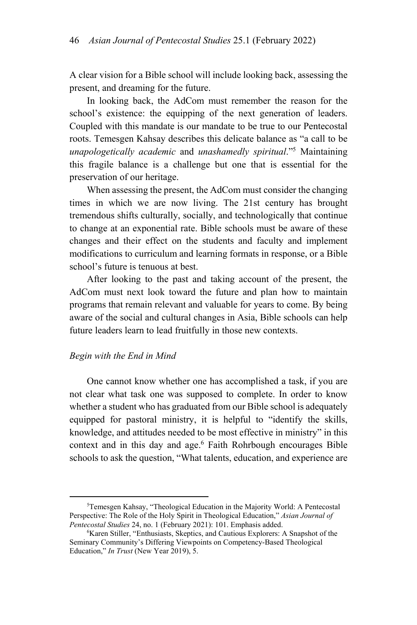A clear vision for a Bible school will include looking back, assessing the present, and dreaming for the future.

In looking back, the AdCom must remember the reason for the school's existence: the equipping of the next generation of leaders. Coupled with this mandate is our mandate to be true to our Pentecostal roots. Temesgen Kahsay describes this delicate balance as "a call to be *unapologetically academic* and *unashamedly spiritual*."5 Maintaining this fragile balance is a challenge but one that is essential for the preservation of our heritage.

When assessing the present, the AdCom must consider the changing times in which we are now living. The 21st century has brought tremendous shifts culturally, socially, and technologically that continue to change at an exponential rate. Bible schools must be aware of these changes and their effect on the students and faculty and implement modifications to curriculum and learning formats in response, or a Bible school's future is tenuous at best.

After looking to the past and taking account of the present, the AdCom must next look toward the future and plan how to maintain programs that remain relevant and valuable for years to come. By being aware of the social and cultural changes in Asia, Bible schools can help future leaders learn to lead fruitfully in those new contexts.

#### *Begin with the End in Mind*

 $\overline{a}$ 

One cannot know whether one has accomplished a task, if you are not clear what task one was supposed to complete. In order to know whether a student who has graduated from our Bible school is adequately equipped for pastoral ministry, it is helpful to "identify the skills, knowledge, and attitudes needed to be most effective in ministry" in this context and in this day and age.<sup>6</sup> Faith Rohrbough encourages Bible schools to ask the question, "What talents, education, and experience are

<sup>5</sup> Temesgen Kahsay, "Theological Education in the Majority World: A Pentecostal Perspective: The Role of the Holy Spirit in Theological Education," *Asian Journal of*  Pentecostal Studies 24, no. 1 (February 2021): 101. Emphasis added.

<sup>&</sup>lt;sup>6</sup>Karen Stiller, "Enthusiasts, Skeptics, and Cautious Explorers: A Snapshot of the Seminary Community's Differing Viewpoints on Competency-Based Theological Education," *In Trust* (New Year 2019), 5.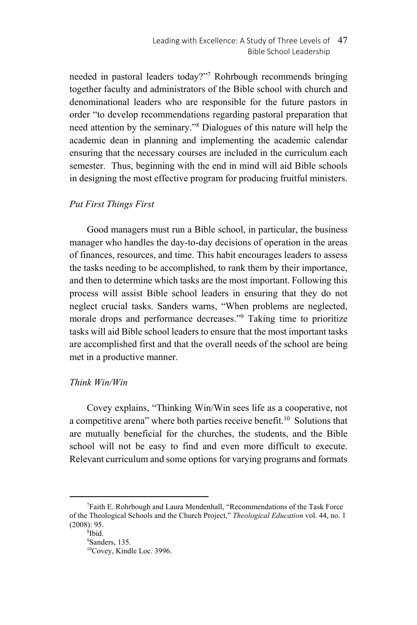needed in pastoral leaders today?"7 Rohrbough recommends bringing together faculty and administrators of the Bible school with church and denominational leaders who are responsible for the future pastors in order "to develop recommendations regarding pastoral preparation that need attention by the seminary."8 Dialogues of this nature will help the academic dean in planning and implementing the academic calendar ensuring that the necessary courses are included in the curriculum each semester. Thus, beginning with the end in mind will aid Bible schools in designing the most effective program for producing fruitful ministers.

## *Put First Things First*

Good managers must run a Bible school, in particular, the business manager who handles the day-to-day decisions of operation in the areas of finances, resources, and time. This habit encourages leaders to assess the tasks needing to be accomplished, to rank them by their importance, and then to determine which tasks are the most important. Following this process will assist Bible school leaders in ensuring that they do not neglect crucial tasks. Sanders warns, "When problems are neglected, morale drops and performance decreases."9 Taking time to prioritize tasks will aid Bible school leaders to ensure that the most important tasks are accomplished first and that the overall needs of the school are being met in a productive manner.

## *Think Win/Win*

Covey explains, "Thinking Win/Win sees life as a cooperative, not a competitive arena" where both parties receive benefit.<sup>10</sup> Solutions that are mutually beneficial for the churches, the students, and the Bible school will not be easy to find and even more difficult to execute. Relevant curriculum and some options for varying programs and formats

<sup>7</sup> Faith E. Rohrbough and Laura Mendenhall, "Recommendations of the Task Force of the Theological Schools and the Church Project," *Theological Education* vol. 44, no. 1  $(2008): 95.$ 

<sup>&</sup>lt;sup>8</sup>Ibid.

<sup>9</sup> Sanders, 135. 10Covey, Kindle Loc. 3996.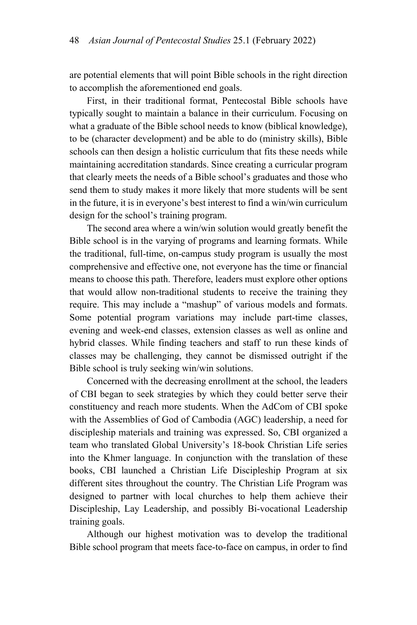are potential elements that will point Bible schools in the right direction to accomplish the aforementioned end goals.

First, in their traditional format, Pentecostal Bible schools have typically sought to maintain a balance in their curriculum. Focusing on what a graduate of the Bible school needs to know (biblical knowledge), to be (character development) and be able to do (ministry skills), Bible schools can then design a holistic curriculum that fits these needs while maintaining accreditation standards. Since creating a curricular program that clearly meets the needs of a Bible school's graduates and those who send them to study makes it more likely that more students will be sent in the future, it is in everyone's best interest to find a win/win curriculum design for the school's training program.

The second area where a win/win solution would greatly benefit the Bible school is in the varying of programs and learning formats. While the traditional, full-time, on-campus study program is usually the most comprehensive and effective one, not everyone has the time or financial means to choose this path. Therefore, leaders must explore other options that would allow non-traditional students to receive the training they require. This may include a "mashup" of various models and formats. Some potential program variations may include part-time classes, evening and week-end classes, extension classes as well as online and hybrid classes. While finding teachers and staff to run these kinds of classes may be challenging, they cannot be dismissed outright if the Bible school is truly seeking win/win solutions.

Concerned with the decreasing enrollment at the school, the leaders of CBI began to seek strategies by which they could better serve their constituency and reach more students. When the AdCom of CBI spoke with the Assemblies of God of Cambodia (AGC) leadership, a need for discipleship materials and training was expressed. So, CBI organized a team who translated Global University's 18-book Christian Life series into the Khmer language. In conjunction with the translation of these books, CBI launched a Christian Life Discipleship Program at six different sites throughout the country. The Christian Life Program was designed to partner with local churches to help them achieve their Discipleship, Lay Leadership, and possibly Bi-vocational Leadership training goals.

Although our highest motivation was to develop the traditional Bible school program that meets face-to-face on campus, in order to find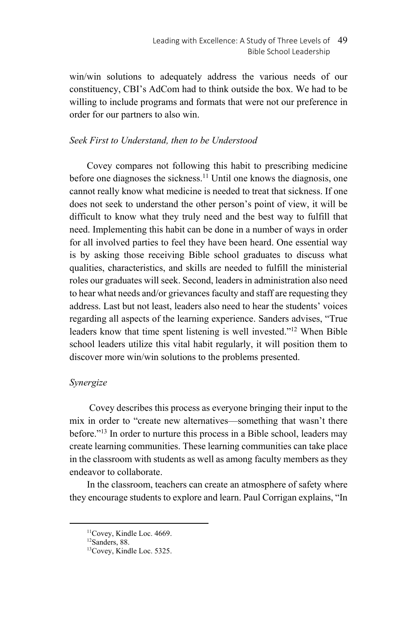win/win solutions to adequately address the various needs of our constituency, CBI's AdCom had to think outside the box. We had to be willing to include programs and formats that were not our preference in order for our partners to also win.

## *Seek First to Understand, then to be Understood*

Covey compares not following this habit to prescribing medicine before one diagnoses the sickness.<sup>11</sup> Until one knows the diagnosis, one cannot really know what medicine is needed to treat that sickness. If one does not seek to understand the other person's point of view, it will be difficult to know what they truly need and the best way to fulfill that need. Implementing this habit can be done in a number of ways in order for all involved parties to feel they have been heard. One essential way is by asking those receiving Bible school graduates to discuss what qualities, characteristics, and skills are needed to fulfill the ministerial roles our graduates will seek. Second, leaders in administration also need to hear what needs and/or grievances faculty and staff are requesting they address. Last but not least, leaders also need to hear the students' voices regarding all aspects of the learning experience. Sanders advises, "True leaders know that time spent listening is well invested."12 When Bible school leaders utilize this vital habit regularly, it will position them to discover more win/win solutions to the problems presented.

## *Synergize*

Covey describes this process as everyone bringing their input to the mix in order to "create new alternatives—something that wasn't there before."<sup>13</sup> In order to nurture this process in a Bible school, leaders may create learning communities. These learning communities can take place in the classroom with students as well as among faculty members as they endeavor to collaborate.

In the classroom, teachers can create an atmosphere of safety where they encourage students to explore and learn. Paul Corrigan explains, "In

<sup>&</sup>lt;sup>11</sup>Covey, Kindle Loc. 4669.

<sup>&</sup>lt;sup>12</sup>Sanders, 88.

<sup>13</sup>Covey, Kindle Loc. 5325.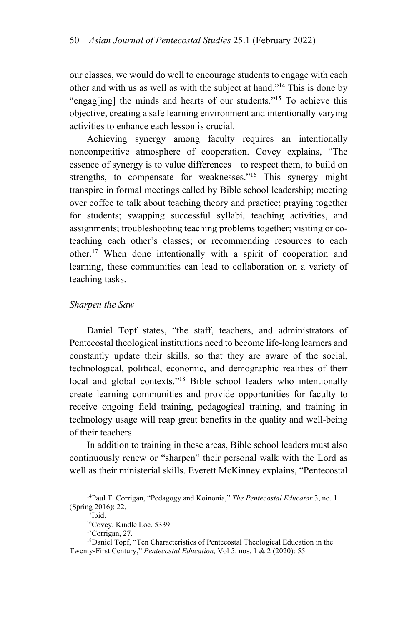our classes, we would do well to encourage students to engage with each other and with us as well as with the subject at hand."14 This is done by "engag[ing] the minds and hearts of our students."15 To achieve this objective, creating a safe learning environment and intentionally varying activities to enhance each lesson is crucial.

Achieving synergy among faculty requires an intentionally noncompetitive atmosphere of cooperation. Covey explains, "The essence of synergy is to value differences—to respect them, to build on strengths, to compensate for weaknesses."<sup>16</sup> This synergy might transpire in formal meetings called by Bible school leadership; meeting over coffee to talk about teaching theory and practice; praying together for students; swapping successful syllabi, teaching activities, and assignments; troubleshooting teaching problems together; visiting or coteaching each other's classes; or recommending resources to each other.17 When done intentionally with a spirit of cooperation and learning, these communities can lead to collaboration on a variety of teaching tasks.

#### *Sharpen the Saw*

Daniel Topf states, "the staff, teachers, and administrators of Pentecostal theological institutions need to become life-long learners and constantly update their skills, so that they are aware of the social, technological, political, economic, and demographic realities of their local and global contexts."<sup>18</sup> Bible school leaders who intentionally create learning communities and provide opportunities for faculty to receive ongoing field training, pedagogical training, and training in technology usage will reap great benefits in the quality and well-being of their teachers.

In addition to training in these areas, Bible school leaders must also continuously renew or "sharpen" their personal walk with the Lord as well as their ministerial skills. Everett McKinney explains, "Pentecostal

<sup>14</sup>Paul T. Corrigan, "Pedagogy and Koinonia," *The Pentecostal Educator* 3, no. 1 (Spring 2016): 22. 15Ibid.

<sup>16</sup>Covey, Kindle Loc. 5339.

<sup>17</sup>Corrigan, 27.

<sup>&</sup>lt;sup>18</sup>Daniel Topf, "Ten Characteristics of Pentecostal Theological Education in the Twenty-First Century," *Pentecostal Education,* Vol 5. nos. 1 & 2 (2020): 55.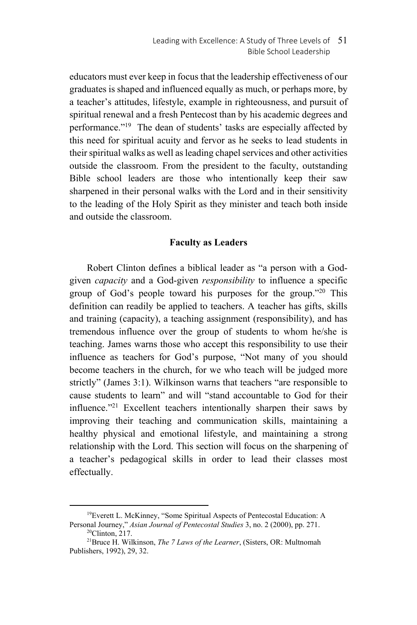educators must ever keep in focus that the leadership effectiveness of our graduates is shaped and influenced equally as much, or perhaps more, by a teacher's attitudes, lifestyle, example in righteousness, and pursuit of spiritual renewal and a fresh Pentecost than by his academic degrees and performance."<sup>19</sup> The dean of students' tasks are especially affected by this need for spiritual acuity and fervor as he seeks to lead students in their spiritual walks as well as leading chapel services and other activities outside the classroom. From the president to the faculty, outstanding Bible school leaders are those who intentionally keep their saw sharpened in their personal walks with the Lord and in their sensitivity to the leading of the Holy Spirit as they minister and teach both inside and outside the classroom.

## **Faculty as Leaders**

Robert Clinton defines a biblical leader as "a person with a Godgiven *capacity* and a God-given *responsibility* to influence a specific group of God's people toward his purposes for the group."<sup>20</sup> This definition can readily be applied to teachers. A teacher has gifts, skills and training (capacity), a teaching assignment (responsibility), and has tremendous influence over the group of students to whom he/she is teaching. James warns those who accept this responsibility to use their influence as teachers for God's purpose, "Not many of you should become teachers in the church, for we who teach will be judged more strictly" (James 3:1). Wilkinson warns that teachers "are responsible to cause students to learn" and will "stand accountable to God for their influence."21 Excellent teachers intentionally sharpen their saws by improving their teaching and communication skills, maintaining a healthy physical and emotional lifestyle, and maintaining a strong relationship with the Lord. This section will focus on the sharpening of a teacher's pedagogical skills in order to lead their classes most effectually.

<sup>&</sup>lt;sup>19</sup>Everett L. McKinney, "Some Spiritual Aspects of Pentecostal Education: A Personal Journey," *Asian Journal of Pentecostal Studies* 3, no. 2 (2000), pp. 271.<br><sup>20</sup>Clinton, 217.

<sup>21</sup>Bruce H. Wilkinson, *The 7 Laws of the Learner*, (Sisters, OR: Multnomah Publishers, 1992), 29, 32.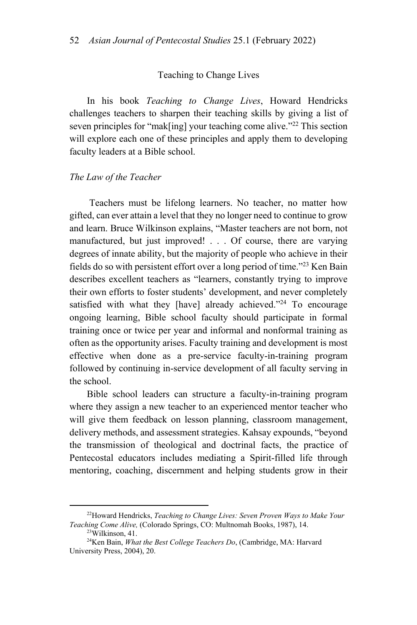#### Teaching to Change Lives

In his book *Teaching to Change Lives*, Howard Hendricks challenges teachers to sharpen their teaching skills by giving a list of seven principles for "mak[ing] your teaching come alive."<sup>22</sup> This section will explore each one of these principles and apply them to developing faculty leaders at a Bible school.

### *The Law of the Teacher*

Teachers must be lifelong learners. No teacher, no matter how gifted, can ever attain a level that they no longer need to continue to grow and learn. Bruce Wilkinson explains, "Master teachers are not born, not manufactured, but just improved! . . . Of course, there are varying degrees of innate ability, but the majority of people who achieve in their fields do so with persistent effort over a long period of time."23 Ken Bain describes excellent teachers as "learners, constantly trying to improve their own efforts to foster students' development, and never completely satisfied with what they [have] already achieved."<sup>24</sup> To encourage ongoing learning, Bible school faculty should participate in formal training once or twice per year and informal and nonformal training as often as the opportunity arises. Faculty training and development is most effective when done as a pre-service faculty-in-training program followed by continuing in-service development of all faculty serving in the school.

Bible school leaders can structure a faculty-in-training program where they assign a new teacher to an experienced mentor teacher who will give them feedback on lesson planning, classroom management, delivery methods, and assessment strategies. Kahsay expounds, "beyond the transmission of theological and doctrinal facts, the practice of Pentecostal educators includes mediating a Spirit-filled life through mentoring, coaching, discernment and helping students grow in their

<sup>22</sup>Howard Hendricks, *Teaching to Change Lives: Seven Proven Ways to Make Your Teaching Come Alive,* (Colorado Springs, CO: Multnomah Books, 1987), 14. 23Wilkinson, 41.

<sup>24</sup>Ken Bain, *What the Best College Teachers Do*, (Cambridge, MA: Harvard University Press, 2004), 20.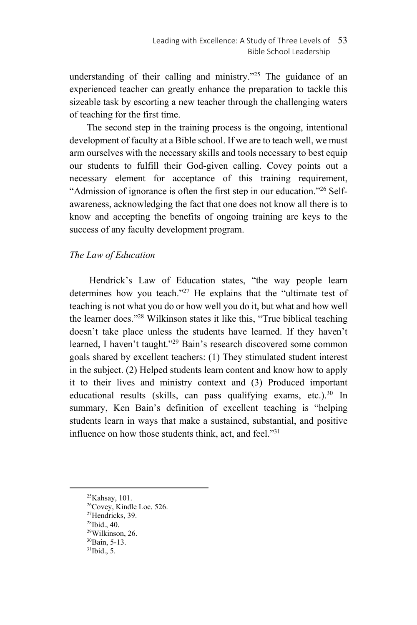understanding of their calling and ministry."<sup>25</sup> The guidance of an experienced teacher can greatly enhance the preparation to tackle this sizeable task by escorting a new teacher through the challenging waters of teaching for the first time.

The second step in the training process is the ongoing, intentional development of faculty at a Bible school. If we are to teach well, we must arm ourselves with the necessary skills and tools necessary to best equip our students to fulfill their God-given calling. Covey points out a necessary element for acceptance of this training requirement, "Admission of ignorance is often the first step in our education."<sup>26</sup> Selfawareness, acknowledging the fact that one does not know all there is to know and accepting the benefits of ongoing training are keys to the success of any faculty development program.

## *The Law of Education*

Hendrick's Law of Education states, "the way people learn determines how you teach."<sup>27</sup> He explains that the "ultimate test of teaching is not what you do or how well you do it, but what and how well the learner does."28 Wilkinson states it like this, "True biblical teaching doesn't take place unless the students have learned. If they haven't learned, I haven't taught."<sup>29</sup> Bain's research discovered some common goals shared by excellent teachers: (1) They stimulated student interest in the subject. (2) Helped students learn content and know how to apply it to their lives and ministry context and (3) Produced important educational results (skills, can pass qualifying exams, etc.).<sup>30</sup> In summary, Ken Bain's definition of excellent teaching is "helping students learn in ways that make a sustained, substantial, and positive influence on how those students think, act, and feel. $"31$ 

<sup>25</sup>Kahsay, 101.

<sup>&</sup>lt;sup>26</sup>Covey, Kindle Loc. 526.

<sup>27</sup>Hendricks, 39.

<sup>28</sup>Ibid., 40.

<sup>29</sup>Wilkinson, 26. 30Bain, 5-13.

 $31$ Ibid., 5.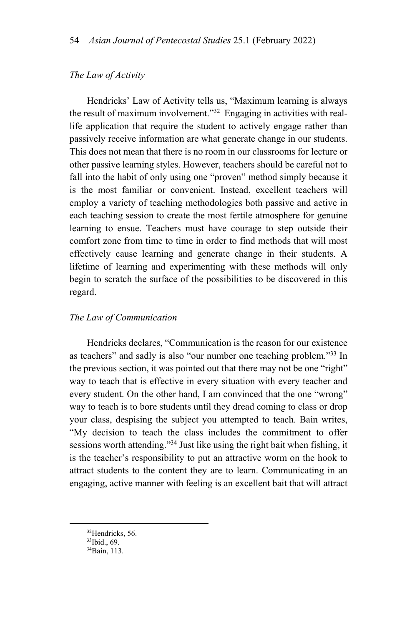## *The Law of Activity*

Hendricks' Law of Activity tells us, "Maximum learning is always the result of maximum involvement."32 Engaging in activities with reallife application that require the student to actively engage rather than passively receive information are what generate change in our students. This does not mean that there is no room in our classrooms for lecture or other passive learning styles. However, teachers should be careful not to fall into the habit of only using one "proven" method simply because it is the most familiar or convenient. Instead, excellent teachers will employ a variety of teaching methodologies both passive and active in each teaching session to create the most fertile atmosphere for genuine learning to ensue. Teachers must have courage to step outside their comfort zone from time to time in order to find methods that will most effectively cause learning and generate change in their students. A lifetime of learning and experimenting with these methods will only begin to scratch the surface of the possibilities to be discovered in this regard.

#### *The Law of Communication*

Hendricks declares, "Communication is the reason for our existence as teachers" and sadly is also "our number one teaching problem."33 In the previous section, it was pointed out that there may not be one "right" way to teach that is effective in every situation with every teacher and every student. On the other hand, I am convinced that the one "wrong" way to teach is to bore students until they dread coming to class or drop your class, despising the subject you attempted to teach. Bain writes, "My decision to teach the class includes the commitment to offer sessions worth attending."<sup>34</sup> Just like using the right bait when fishing, it is the teacher's responsibility to put an attractive worm on the hook to attract students to the content they are to learn. Communicating in an engaging, active manner with feeling is an excellent bait that will attract

<sup>&</sup>lt;sup>32</sup>Hendricks, 56.

<sup>33</sup>Ibid., 69.

<sup>34</sup>Bain, 113.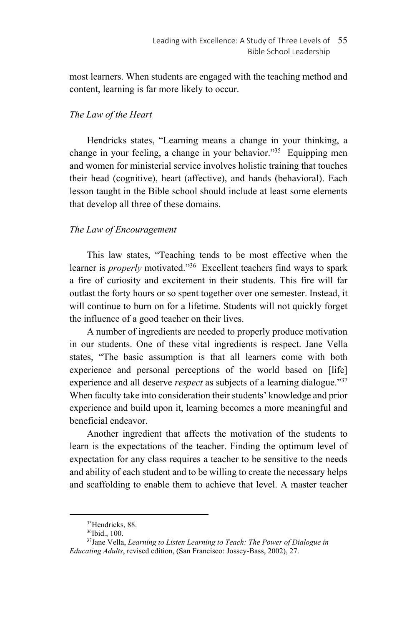most learners. When students are engaged with the teaching method and content, learning is far more likely to occur.

## *The Law of the Heart*

Hendricks states, "Learning means a change in your thinking, a change in your feeling, a change in your behavior."35 Equipping men and women for ministerial service involves holistic training that touches their head (cognitive), heart (affective), and hands (behavioral). Each lesson taught in the Bible school should include at least some elements that develop all three of these domains.

## *The Law of Encouragement*

This law states, "Teaching tends to be most effective when the learner is *properly* motivated."<sup>36</sup> Excellent teachers find ways to spark a fire of curiosity and excitement in their students. This fire will far outlast the forty hours or so spent together over one semester. Instead, it will continue to burn on for a lifetime. Students will not quickly forget the influence of a good teacher on their lives.

A number of ingredients are needed to properly produce motivation in our students. One of these vital ingredients is respect. Jane Vella states, "The basic assumption is that all learners come with both experience and personal perceptions of the world based on [life] experience and all deserve *respect* as subjects of a learning dialogue."<sup>37</sup> When faculty take into consideration their students' knowledge and prior experience and build upon it, learning becomes a more meaningful and beneficial endeavor.

Another ingredient that affects the motivation of the students to learn is the expectations of the teacher. Finding the optimum level of expectation for any class requires a teacher to be sensitive to the needs and ability of each student and to be willing to create the necessary helps and scaffolding to enable them to achieve that level. A master teacher

<sup>&</sup>lt;sup>35</sup>Hendricks, 88.

<sup>36</sup>Ibid., 100.

<sup>37</sup>Jane Vella, *Learning to Listen Learning to Teach: The Power of Dialogue in Educating Adults*, revised edition, (San Francisco: Jossey-Bass, 2002), 27.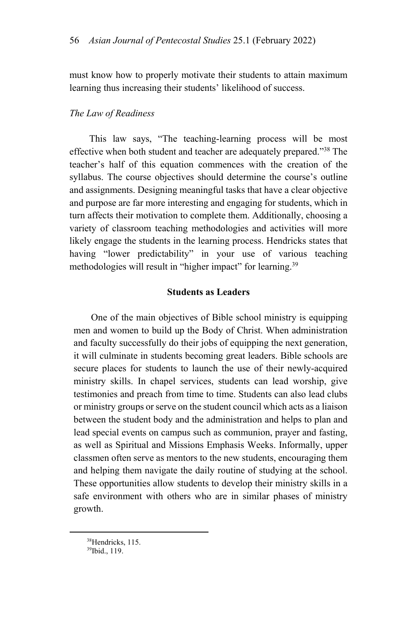must know how to properly motivate their students to attain maximum learning thus increasing their students' likelihood of success.

## *The Law of Readiness*

This law says, "The teaching-learning process will be most effective when both student and teacher are adequately prepared."38 The teacher's half of this equation commences with the creation of the syllabus. The course objectives should determine the course's outline and assignments. Designing meaningful tasks that have a clear objective and purpose are far more interesting and engaging for students, which in turn affects their motivation to complete them. Additionally, choosing a variety of classroom teaching methodologies and activities will more likely engage the students in the learning process. Hendricks states that having "lower predictability" in your use of various teaching methodologies will result in "higher impact" for learning.<sup>39</sup>

## **Students as Leaders**

One of the main objectives of Bible school ministry is equipping men and women to build up the Body of Christ. When administration and faculty successfully do their jobs of equipping the next generation, it will culminate in students becoming great leaders. Bible schools are secure places for students to launch the use of their newly-acquired ministry skills. In chapel services, students can lead worship, give testimonies and preach from time to time. Students can also lead clubs or ministry groups or serve on the student council which acts as a liaison between the student body and the administration and helps to plan and lead special events on campus such as communion, prayer and fasting, as well as Spiritual and Missions Emphasis Weeks. Informally, upper classmen often serve as mentors to the new students, encouraging them and helping them navigate the daily routine of studying at the school. These opportunities allow students to develop their ministry skills in a safe environment with others who are in similar phases of ministry growth.

<sup>38</sup>Hendricks, 115.

<sup>39</sup>Ibid., 119.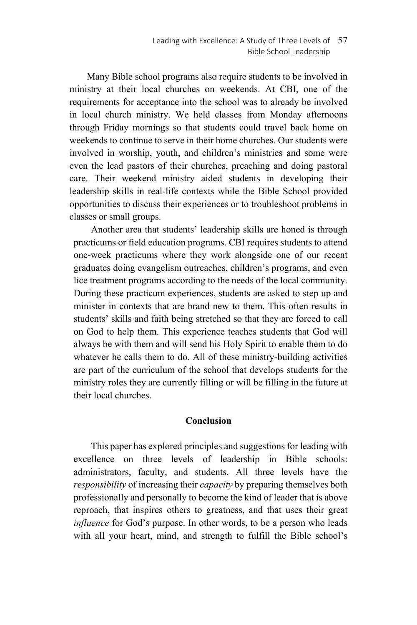Many Bible school programs also require students to be involved in ministry at their local churches on weekends. At CBI, one of the requirements for acceptance into the school was to already be involved in local church ministry. We held classes from Monday afternoons through Friday mornings so that students could travel back home on weekends to continue to serve in their home churches. Our students were involved in worship, youth, and children's ministries and some were even the lead pastors of their churches, preaching and doing pastoral care. Their weekend ministry aided students in developing their leadership skills in real-life contexts while the Bible School provided opportunities to discuss their experiences or to troubleshoot problems in classes or small groups.

Another area that students' leadership skills are honed is through practicums or field education programs. CBI requires students to attend one-week practicums where they work alongside one of our recent graduates doing evangelism outreaches, children's programs, and even lice treatment programs according to the needs of the local community. During these practicum experiences, students are asked to step up and minister in contexts that are brand new to them. This often results in students' skills and faith being stretched so that they are forced to call on God to help them. This experience teaches students that God will always be with them and will send his Holy Spirit to enable them to do whatever he calls them to do. All of these ministry-building activities are part of the curriculum of the school that develops students for the ministry roles they are currently filling or will be filling in the future at their local churches.

## **Conclusion**

This paper has explored principles and suggestions for leading with excellence on three levels of leadership in Bible schools: administrators, faculty, and students. All three levels have the *responsibility* of increasing their *capacity* by preparing themselves both professionally and personally to become the kind of leader that is above reproach, that inspires others to greatness, and that uses their great *influence* for God's purpose. In other words, to be a person who leads with all your heart, mind, and strength to fulfill the Bible school's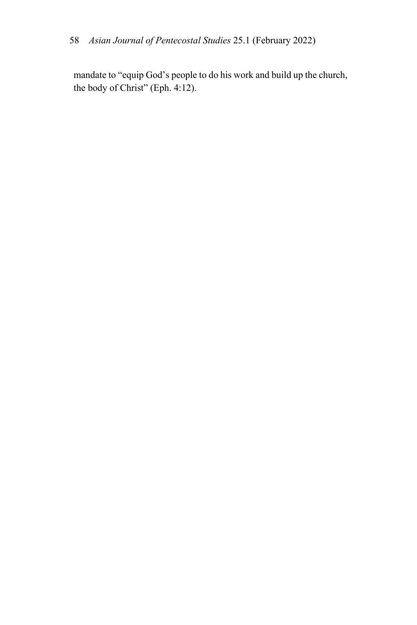mandate to "equip God's people to do his work and build up the church, the body of Christ" (Eph. 4:12).